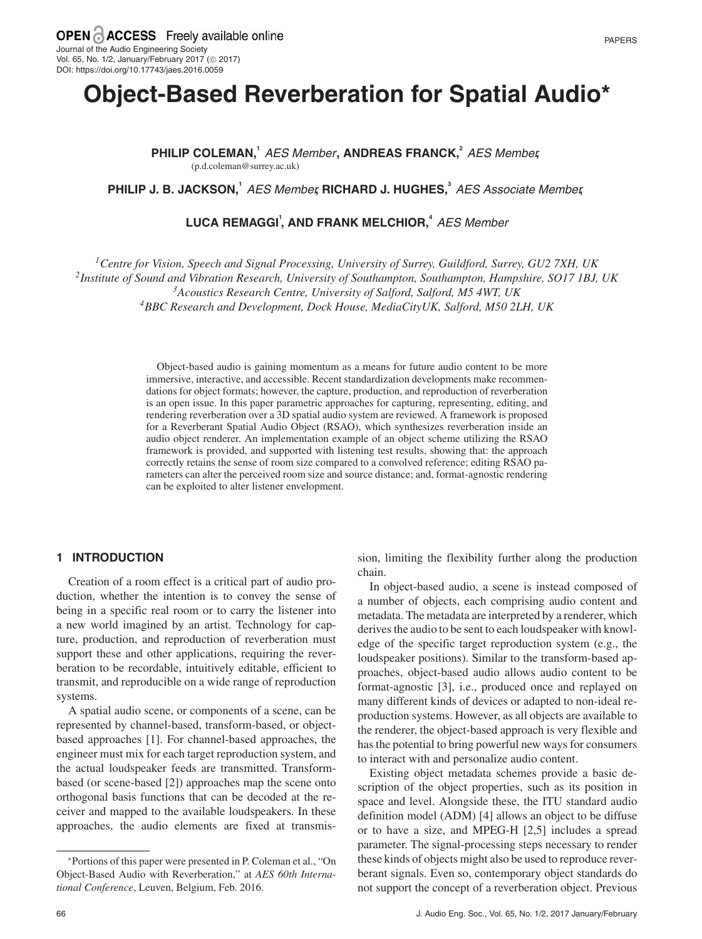Vol. 65, No. 1/2, January/February 2017 (© 2017) DOI: https://doi.org/10.17743/jaes.2016.0059

# **Object-Based Reverberation for Spatial Audio\***

PHILIP COLEMAN,<sup>1</sup> AES Member, ANDREAS FRANCK,<sup>2</sup> AES Member, (p.d.coleman@surrey.ac.uk)

PHILIP J. B. JACKSON,<sup>1</sup> AES Member, RICHARD J. HUGHES,<sup>3</sup> AES Associate Member,

**LUCA REMAGGI<sup>1</sup> , AND FRANK MELCHIOR,<sup>4</sup>** AES Member

*1Centre for Vision, Speech and Signal Processing, University of Surrey, Guildford, Surrey, GU2 7XH, UK*

*2Institute of Sound and Vibration Research, University of Southampton, Southampton, Hampshire, SO17 1BJ, UK*

*3Acoustics Research Centre, University of Salford, Salford, M5 4WT, UK*

*4BBC Research and Development, Dock House, MediaCityUK, Salford, M50 2LH, UK*

Object-based audio is gaining momentum as a means for future audio content to be more immersive, interactive, and accessible. Recent standardization developments make recommendations for object formats; however, the capture, production, and reproduction of reverberation is an open issue. In this paper parametric approaches for capturing, representing, editing, and rendering reverberation over a 3D spatial audio system are reviewed. A framework is proposed for a Reverberant Spatial Audio Object (RSAO), which synthesizes reverberation inside an audio object renderer. An implementation example of an object scheme utilizing the RSAO framework is provided, and supported with listening test results, showing that: the approach correctly retains the sense of room size compared to a convolved reference; editing RSAO parameters can alter the perceived room size and source distance; and, format-agnostic rendering can be exploited to alter listener envelopment.

## **1 INTRODUCTION**

Creation of a room effect is a critical part of audio production, whether the intention is to convey the sense of being in a specific real room or to carry the listener into a new world imagined by an artist. Technology for capture, production, and reproduction of reverberation must support these and other applications, requiring the reverberation to be recordable, intuitively editable, efficient to transmit, and reproducible on a wide range of reproduction systems.

A spatial audio scene, or components of a scene, can be represented by channel-based, transform-based, or objectbased approaches [1]. For channel-based approaches, the engineer must mix for each target reproduction system, and the actual loudspeaker feeds are transmitted. Transformbased (or scene-based [2]) approaches map the scene onto orthogonal basis functions that can be decoded at the receiver and mapped to the available loudspeakers. In these approaches, the audio elements are fixed at transmis-

sion, limiting the flexibility further along the production chain.

In object-based audio, a scene is instead composed of a number of objects, each comprising audio content and metadata. The metadata are interpreted by a renderer, which derives the audio to be sent to each loudspeaker with knowledge of the specific target reproduction system (e.g., the loudspeaker positions). Similar to the transform-based approaches, object-based audio allows audio content to be format-agnostic [3], i.e., produced once and replayed on many different kinds of devices or adapted to non-ideal reproduction systems. However, as all objects are available to the renderer, the object-based approach is very flexible and has the potential to bring powerful new ways for consumers to interact with and personalize audio content.

Existing object metadata schemes provide a basic description of the object properties, such as its position in space and level. Alongside these, the ITU standard audio definition model (ADM) [4] allows an object to be diffuse or to have a size, and MPEG-H [2,5] includes a spread parameter. The signal-processing steps necessary to render these kinds of objects might also be used to reproduce reverberant signals. Even so, contemporary object standards do not support the concept of a reverberation object. Previous

<sup>∗</sup>Portions of this paper were presented in P. Coleman et al., "On Object-Based Audio with Reverberation," at *AES 60th International Conference*, Leuven, Belgium, Feb. 2016.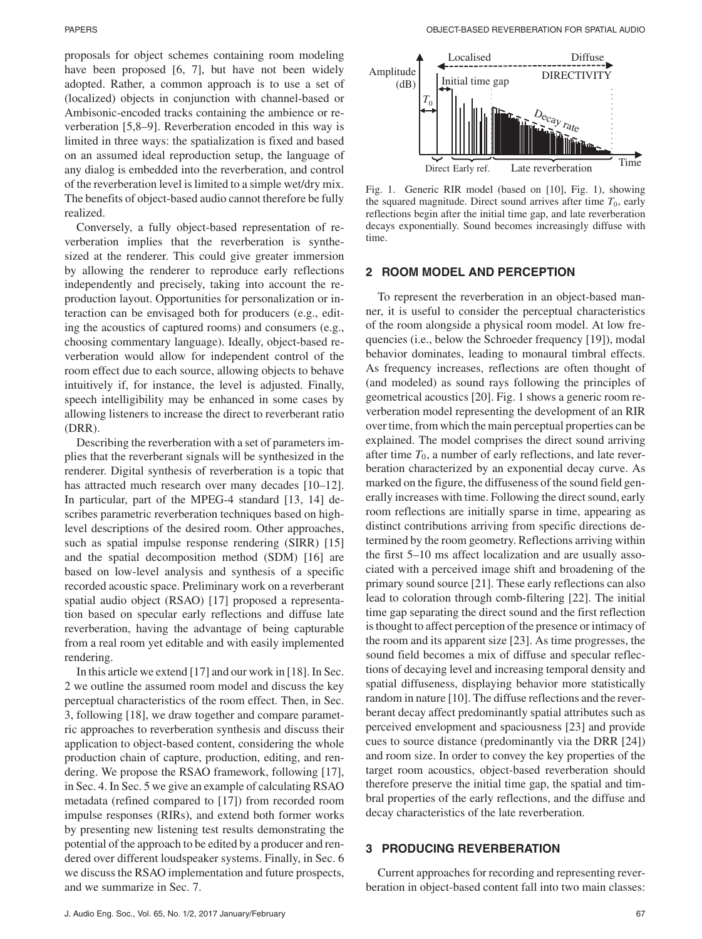proposals for object schemes containing room modeling have been proposed [6, 7], but have not been widely adopted. Rather, a common approach is to use a set of (localized) objects in conjunction with channel-based or Ambisonic-encoded tracks containing the ambience or reverberation [5,8–9]. Reverberation encoded in this way is limited in three ways: the spatialization is fixed and based on an assumed ideal reproduction setup, the language of any dialog is embedded into the reverberation, and control of the reverberation level is limited to a simple wet/dry mix. The benefits of object-based audio cannot therefore be fully realized.

Conversely, a fully object-based representation of reverberation implies that the reverberation is synthesized at the renderer. This could give greater immersion by allowing the renderer to reproduce early reflections independently and precisely, taking into account the reproduction layout. Opportunities for personalization or interaction can be envisaged both for producers (e.g., editing the acoustics of captured rooms) and consumers (e.g., choosing commentary language). Ideally, object-based reverberation would allow for independent control of the room effect due to each source, allowing objects to behave intuitively if, for instance, the level is adjusted. Finally, speech intelligibility may be enhanced in some cases by allowing listeners to increase the direct to reverberant ratio (DRR).

Describing the reverberation with a set of parameters implies that the reverberant signals will be synthesized in the renderer. Digital synthesis of reverberation is a topic that has attracted much research over many decades [10–12]. In particular, part of the MPEG-4 standard [13, 14] describes parametric reverberation techniques based on highlevel descriptions of the desired room. Other approaches, such as spatial impulse response rendering (SIRR) [15] and the spatial decomposition method (SDM) [16] are based on low-level analysis and synthesis of a specific recorded acoustic space. Preliminary work on a reverberant spatial audio object (RSAO) [17] proposed a representation based on specular early reflections and diffuse late reverberation, having the advantage of being capturable from a real room yet editable and with easily implemented rendering.

In this article we extend [17] and our work in [18]. In Sec. 2 we outline the assumed room model and discuss the key perceptual characteristics of the room effect. Then, in Sec. 3, following [18], we draw together and compare parametric approaches to reverberation synthesis and discuss their application to object-based content, considering the whole production chain of capture, production, editing, and rendering. We propose the RSAO framework, following [17], in Sec. 4. In Sec. 5 we give an example of calculating RSAO metadata (refined compared to [17]) from recorded room impulse responses (RIRs), and extend both former works by presenting new listening test results demonstrating the potential of the approach to be edited by a producer and rendered over different loudspeaker systems. Finally, in Sec. 6 we discuss the RSAO implementation and future prospects, and we summarize in Sec. 7.



Fig. 1. Generic RIR model (based on [10], Fig. 1), showing the squared magnitude. Direct sound arrives after time  $T_0$ , early reflections begin after the initial time gap, and late reverberation decays exponentially. Sound becomes increasingly diffuse with time.

# **2 ROOM MODEL AND PERCEPTION**

To represent the reverberation in an object-based manner, it is useful to consider the perceptual characteristics of the room alongside a physical room model. At low frequencies (i.e., below the Schroeder frequency [19]), modal behavior dominates, leading to monaural timbral effects. As frequency increases, reflections are often thought of (and modeled) as sound rays following the principles of geometrical acoustics [20]. Fig. 1 shows a generic room reverberation model representing the development of an RIR over time, from which the main perceptual properties can be explained. The model comprises the direct sound arriving after time  $T_0$ , a number of early reflections, and late reverberation characterized by an exponential decay curve. As marked on the figure, the diffuseness of the sound field generally increases with time. Following the direct sound, early room reflections are initially sparse in time, appearing as distinct contributions arriving from specific directions determined by the room geometry. Reflections arriving within the first 5–10 ms affect localization and are usually associated with a perceived image shift and broadening of the primary sound source [21]. These early reflections can also lead to coloration through comb-filtering [22]. The initial time gap separating the direct sound and the first reflection is thought to affect perception of the presence or intimacy of the room and its apparent size [23]. As time progresses, the sound field becomes a mix of diffuse and specular reflections of decaying level and increasing temporal density and spatial diffuseness, displaying behavior more statistically random in nature [10]. The diffuse reflections and the reverberant decay affect predominantly spatial attributes such as perceived envelopment and spaciousness [23] and provide cues to source distance (predominantly via the DRR [24]) and room size. In order to convey the key properties of the target room acoustics, object-based reverberation should therefore preserve the initial time gap, the spatial and timbral properties of the early reflections, and the diffuse and decay characteristics of the late reverberation.

# **3 PRODUCING REVERBERATION**

Current approaches for recording and representing reverberation in object-based content fall into two main classes: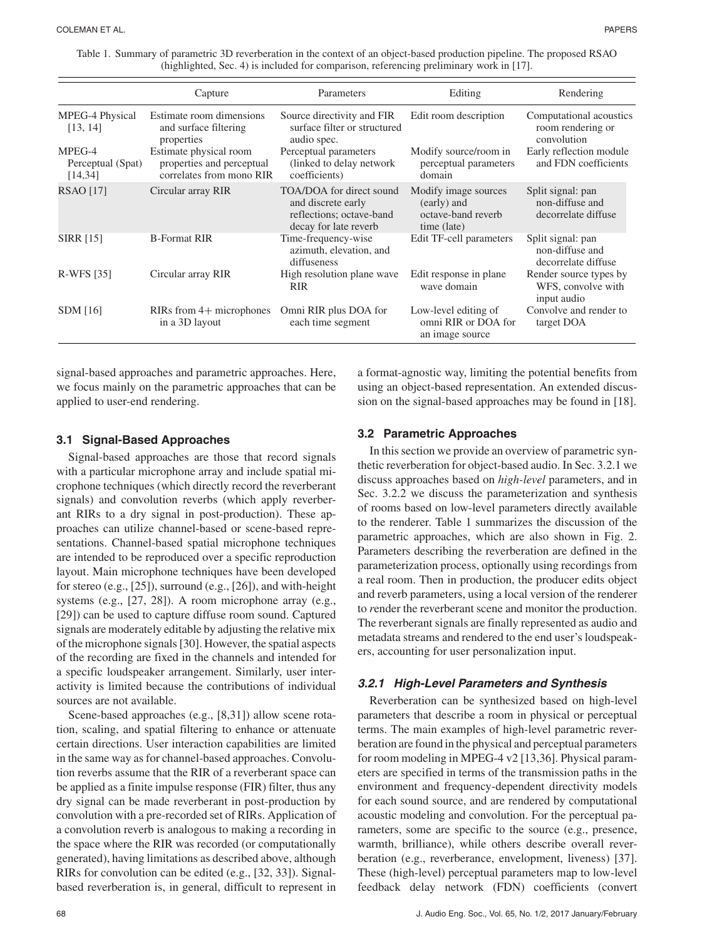|                                         | Capture                                                                         | Parameters                                                                                          | Editing                                                                  | Rendering                                                   |
|-----------------------------------------|---------------------------------------------------------------------------------|-----------------------------------------------------------------------------------------------------|--------------------------------------------------------------------------|-------------------------------------------------------------|
| MPEG-4 Physical<br>[13, 14]             | Estimate room dimensions<br>and surface filtering<br>properties                 | Source directivity and FIR<br>surface filter or structured<br>audio spec.                           | Edit room description                                                    | Computational acoustics<br>room rendering or<br>convolution |
| MPEG-4<br>Perceptual (Spat)<br>[14, 34] | Estimate physical room<br>properties and perceptual<br>correlates from mono RIR | Perceptual parameters<br>(linked to delay network)<br>coefficients)                                 | Modify source/room in<br>perceptual parameters<br>domain                 | Early reflection module<br>and FDN coefficients             |
| <b>RSAO [17]</b>                        | Circular array RIR                                                              | TOA/DOA for direct sound<br>and discrete early<br>reflections; octave-band<br>decay for late reverb | Modify image sources<br>(early) and<br>octave-band reverb<br>time (late) | Split signal: pan<br>non-diffuse and<br>decorrelate diffuse |
| <b>SIRR [15]</b>                        | <b>B-Format RIR</b>                                                             | Time-frequency-wise<br>azimuth, elevation, and<br>diffuseness                                       | Edit TF-cell parameters                                                  | Split signal: pan<br>non-diffuse and<br>decorrelate diffuse |
| R-WFS [35]                              | Circular array RIR                                                              | High resolution plane wave<br><b>RIR</b>                                                            | Edit response in plane<br>wave domain                                    | Render source types by<br>WFS, convolve with<br>input audio |
| <b>SDM</b> [16]                         | RIRs from $4+$ microphones<br>in a 3D layout                                    | Omni RIR plus DOA for<br>each time segment                                                          | Low-level editing of<br>omni RIR or DOA for<br>an image source           | Convolve and render to<br>target DOA                        |

Table 1. Summary of parametric 3D reverberation in the context of an object-based production pipeline. The proposed RSAO (highlighted, Sec. 4) is included for comparison, referencing preliminary work in [17].

signal-based approaches and parametric approaches. Here, we focus mainly on the parametric approaches that can be applied to user-end rendering.

a format-agnostic way, limiting the potential benefits from using an object-based representation. An extended discussion on the signal-based approaches may be found in [18].

### **3.1 Signal-Based Approaches**

Signal-based approaches are those that record signals with a particular microphone array and include spatial microphone techniques (which directly record the reverberant signals) and convolution reverbs (which apply reverberant RIRs to a dry signal in post-production). These approaches can utilize channel-based or scene-based representations. Channel-based spatial microphone techniques are intended to be reproduced over a specific reproduction layout. Main microphone techniques have been developed for stereo (e.g., [25]), surround (e.g., [26]), and with-height systems (e.g., [27, 28]). A room microphone array (e.g., [29]) can be used to capture diffuse room sound. Captured signals are moderately editable by adjusting the relative mix of the microphone signals [30]. However, the spatial aspects of the recording are fixed in the channels and intended for a specific loudspeaker arrangement. Similarly, user interactivity is limited because the contributions of individual sources are not available.

Scene-based approaches (e.g., [8,31]) allow scene rotation, scaling, and spatial filtering to enhance or attenuate certain directions. User interaction capabilities are limited in the same way as for channel-based approaches. Convolution reverbs assume that the RIR of a reverberant space can be applied as a finite impulse response (FIR) filter, thus any dry signal can be made reverberant in post-production by convolution with a pre-recorded set of RIRs. Application of a convolution reverb is analogous to making a recording in the space where the RIR was recorded (or computationally generated), having limitations as described above, although RIRs for convolution can be edited (e.g., [32, 33]). Signalbased reverberation is, in general, difficult to represent in

## **3.2 Parametric Approaches**

In this section we provide an overview of parametric synthetic reverberation for object-based audio. In Sec. 3.2.1 we discuss approaches based on *high-level* parameters, and in Sec. 3.2.2 we discuss the parameterization and synthesis of rooms based on low-level parameters directly available to the renderer. Table 1 summarizes the discussion of the parametric approaches, which are also shown in Fig. 2. Parameters describing the reverberation are defined in the parameterization process, optionally using recordings from a real room. Then in production, the producer edits object and reverb parameters, using a local version of the renderer to *r*ender the reverberant scene and monitor the production. The reverberant signals are finally represented as audio and metadata streams and rendered to the end user's loudspeakers, accounting for user personalization input.

#### **3.2.1 High-Level Parameters and Synthesis**

Reverberation can be synthesized based on high-level parameters that describe a room in physical or perceptual terms. The main examples of high-level parametric reverberation are found in the physical and perceptual parameters for room modeling in MPEG-4 v2 [13,36]. Physical parameters are specified in terms of the transmission paths in the environment and frequency-dependent directivity models for each sound source, and are rendered by computational acoustic modeling and convolution. For the perceptual parameters, some are specific to the source (e.g., presence, warmth, brilliance), while others describe overall reverberation (e.g., reverberance, envelopment, liveness) [37]. These (high-level) perceptual parameters map to low-level feedback delay network (FDN) coefficients (convert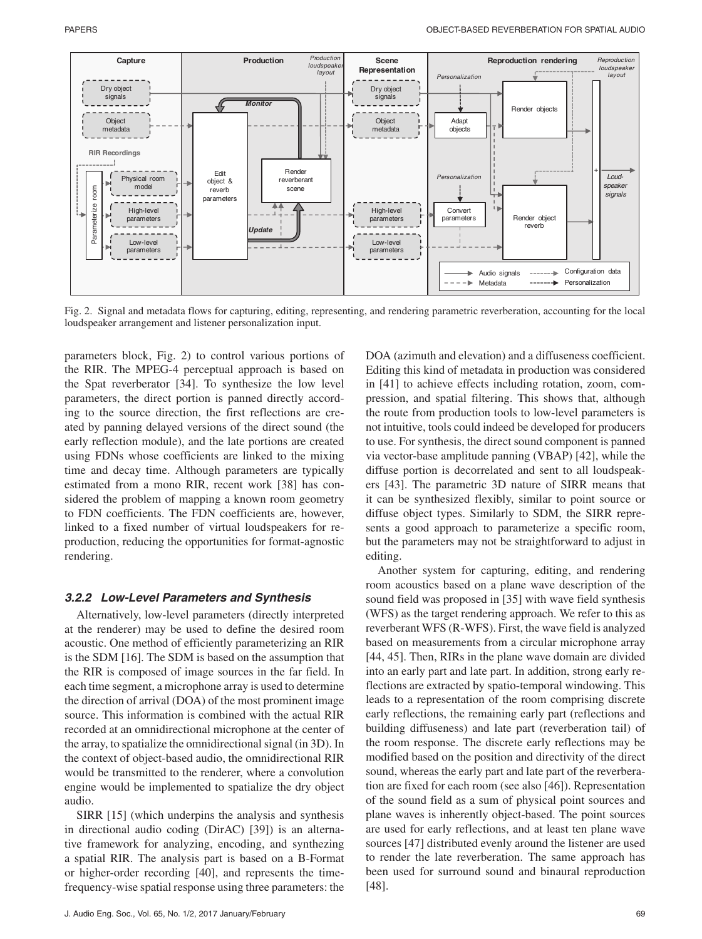

Fig. 2. Signal and metadata flows for capturing, editing, representing, and rendering parametric reverberation, accounting for the local loudspeaker arrangement and listener personalization input.

parameters block, Fig. 2) to control various portions of the RIR. The MPEG-4 perceptual approach is based on the Spat reverberator [34]. To synthesize the low level parameters, the direct portion is panned directly according to the source direction, the first reflections are created by panning delayed versions of the direct sound (the early reflection module), and the late portions are created using FDNs whose coefficients are linked to the mixing time and decay time. Although parameters are typically estimated from a mono RIR, recent work [38] has considered the problem of mapping a known room geometry to FDN coefficients. The FDN coefficients are, however, linked to a fixed number of virtual loudspeakers for reproduction, reducing the opportunities for format-agnostic rendering.

#### **3.2.2 Low-Level Parameters and Synthesis**

Alternatively, low-level parameters (directly interpreted at the renderer) may be used to define the desired room acoustic. One method of efficiently parameterizing an RIR is the SDM [16]. The SDM is based on the assumption that the RIR is composed of image sources in the far field. In each time segment, a microphone array is used to determine the direction of arrival (DOA) of the most prominent image source. This information is combined with the actual RIR recorded at an omnidirectional microphone at the center of the array, to spatialize the omnidirectional signal (in 3D). In the context of object-based audio, the omnidirectional RIR would be transmitted to the renderer, where a convolution engine would be implemented to spatialize the dry object audio.

SIRR [15] (which underpins the analysis and synthesis in directional audio coding (DirAC) [39]) is an alternative framework for analyzing, encoding, and synthezing a spatial RIR. The analysis part is based on a B-Format or higher-order recording [40], and represents the timefrequency-wise spatial response using three parameters: the DOA (azimuth and elevation) and a diffuseness coefficient. Editing this kind of metadata in production was considered in [41] to achieve effects including rotation, zoom, compression, and spatial filtering. This shows that, although the route from production tools to low-level parameters is not intuitive, tools could indeed be developed for producers to use. For synthesis, the direct sound component is panned via vector-base amplitude panning (VBAP) [42], while the diffuse portion is decorrelated and sent to all loudspeakers [43]. The parametric 3D nature of SIRR means that it can be synthesized flexibly, similar to point source or diffuse object types. Similarly to SDM, the SIRR represents a good approach to parameterize a specific room, but the parameters may not be straightforward to adjust in editing.

Another system for capturing, editing, and rendering room acoustics based on a plane wave description of the sound field was proposed in [35] with wave field synthesis (WFS) as the target rendering approach. We refer to this as reverberant WFS (R-WFS). First, the wave field is analyzed based on measurements from a circular microphone array [44, 45]. Then, RIRs in the plane wave domain are divided into an early part and late part. In addition, strong early reflections are extracted by spatio-temporal windowing. This leads to a representation of the room comprising discrete early reflections, the remaining early part (reflections and building diffuseness) and late part (reverberation tail) of the room response. The discrete early reflections may be modified based on the position and directivity of the direct sound, whereas the early part and late part of the reverberation are fixed for each room (see also [46]). Representation of the sound field as a sum of physical point sources and plane waves is inherently object-based. The point sources are used for early reflections, and at least ten plane wave sources [47] distributed evenly around the listener are used to render the late reverberation. The same approach has been used for surround sound and binaural reproduction [48].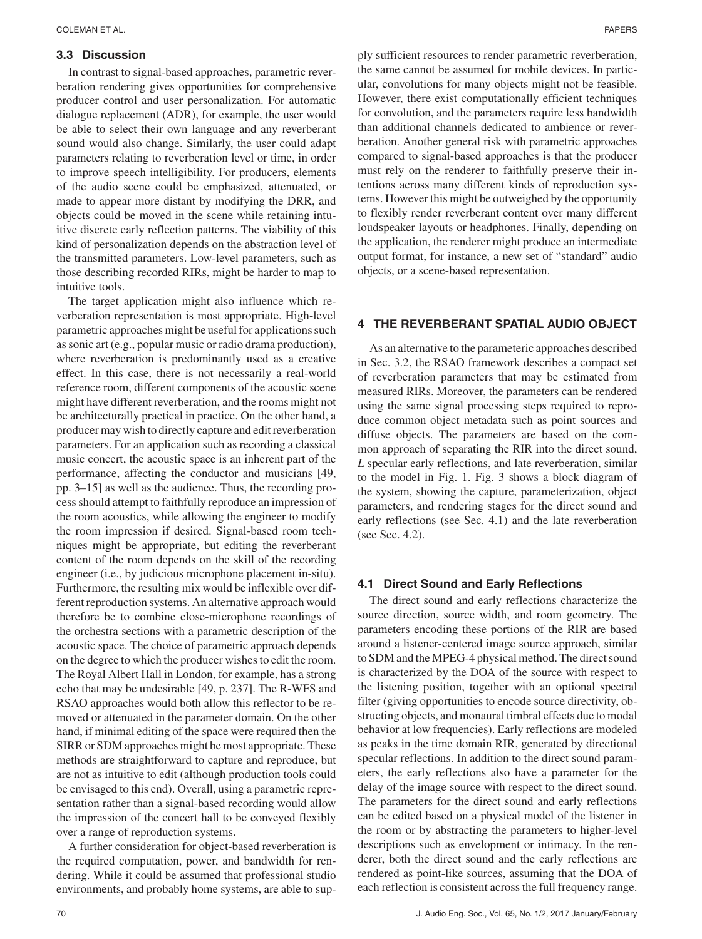#### **3.3 Discussion**

In contrast to signal-based approaches, parametric reverberation rendering gives opportunities for comprehensive producer control and user personalization. For automatic dialogue replacement (ADR), for example, the user would be able to select their own language and any reverberant sound would also change. Similarly, the user could adapt parameters relating to reverberation level or time, in order to improve speech intelligibility. For producers, elements of the audio scene could be emphasized, attenuated, or made to appear more distant by modifying the DRR, and objects could be moved in the scene while retaining intuitive discrete early reflection patterns. The viability of this kind of personalization depends on the abstraction level of the transmitted parameters. Low-level parameters, such as those describing recorded RIRs, might be harder to map to intuitive tools.

The target application might also influence which reverberation representation is most appropriate. High-level parametric approaches might be useful for applications such as sonic art (e.g., popular music or radio drama production), where reverberation is predominantly used as a creative effect. In this case, there is not necessarily a real-world reference room, different components of the acoustic scene might have different reverberation, and the rooms might not be architecturally practical in practice. On the other hand, a producer may wish to directly capture and edit reverberation parameters. For an application such as recording a classical music concert, the acoustic space is an inherent part of the performance, affecting the conductor and musicians [49, pp. 3–15] as well as the audience. Thus, the recording process should attempt to faithfully reproduce an impression of the room acoustics, while allowing the engineer to modify the room impression if desired. Signal-based room techniques might be appropriate, but editing the reverberant content of the room depends on the skill of the recording engineer (i.e., by judicious microphone placement in-situ). Furthermore, the resulting mix would be inflexible over different reproduction systems. An alternative approach would therefore be to combine close-microphone recordings of the orchestra sections with a parametric description of the acoustic space. The choice of parametric approach depends on the degree to which the producer wishes to edit the room. The Royal Albert Hall in London, for example, has a strong echo that may be undesirable [49, p. 237]. The R-WFS and RSAO approaches would both allow this reflector to be removed or attenuated in the parameter domain. On the other hand, if minimal editing of the space were required then the SIRR or SDM approaches might be most appropriate. These methods are straightforward to capture and reproduce, but are not as intuitive to edit (although production tools could be envisaged to this end). Overall, using a parametric representation rather than a signal-based recording would allow the impression of the concert hall to be conveyed flexibly over a range of reproduction systems.

A further consideration for object-based reverberation is the required computation, power, and bandwidth for rendering. While it could be assumed that professional studio environments, and probably home systems, are able to sup-

ply sufficient resources to render parametric reverberation, the same cannot be assumed for mobile devices. In particular, convolutions for many objects might not be feasible. However, there exist computationally efficient techniques for convolution, and the parameters require less bandwidth than additional channels dedicated to ambience or reverberation. Another general risk with parametric approaches compared to signal-based approaches is that the producer must rely on the renderer to faithfully preserve their intentions across many different kinds of reproduction systems. However this might be outweighed by the opportunity to flexibly render reverberant content over many different loudspeaker layouts or headphones. Finally, depending on the application, the renderer might produce an intermediate output format, for instance, a new set of "standard" audio objects, or a scene-based representation.

# **4 THE REVERBERANT SPATIAL AUDIO OBJECT**

As an alternative to the parameteric approaches described in Sec. 3.2, the RSAO framework describes a compact set of reverberation parameters that may be estimated from measured RIRs. Moreover, the parameters can be rendered using the same signal processing steps required to reproduce common object metadata such as point sources and diffuse objects. The parameters are based on the common approach of separating the RIR into the direct sound, *L* specular early reflections, and late reverberation, similar to the model in Fig. 1. Fig. 3 shows a block diagram of the system, showing the capture, parameterization, object parameters, and rendering stages for the direct sound and early reflections (see Sec. 4.1) and the late reverberation (see Sec. 4.2).

#### **4.1 Direct Sound and Early Reflections**

The direct sound and early reflections characterize the source direction, source width, and room geometry. The parameters encoding these portions of the RIR are based around a listener-centered image source approach, similar to SDM and the MPEG-4 physical method. The direct sound is characterized by the DOA of the source with respect to the listening position, together with an optional spectral filter (giving opportunities to encode source directivity, obstructing objects, and monaural timbral effects due to modal behavior at low frequencies). Early reflections are modeled as peaks in the time domain RIR, generated by directional specular reflections. In addition to the direct sound parameters, the early reflections also have a parameter for the delay of the image source with respect to the direct sound. The parameters for the direct sound and early reflections can be edited based on a physical model of the listener in the room or by abstracting the parameters to higher-level descriptions such as envelopment or intimacy. In the renderer, both the direct sound and the early reflections are rendered as point-like sources, assuming that the DOA of each reflection is consistent across the full frequency range.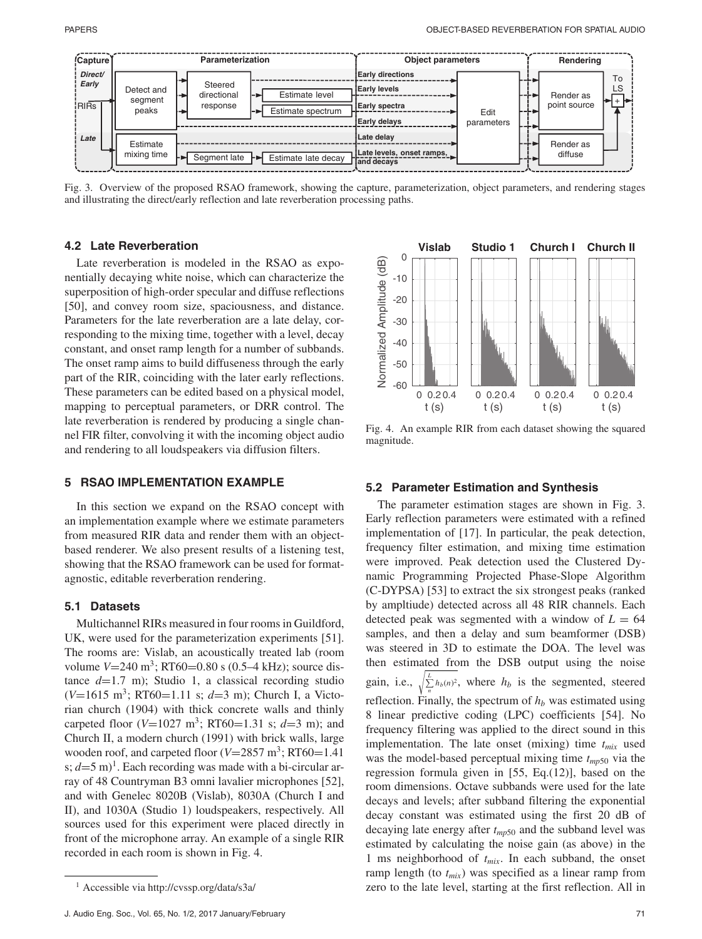

Fig. 3. Overview of the proposed RSAO framework, showing the capture, parameterization, object parameters, and rendering stages and illustrating the direct/early reflection and late reverberation processing paths.

# **4.2 Late Reverberation**

Late reverberation is modeled in the RSAO as exponentially decaying white noise, which can characterize the superposition of high-order specular and diffuse reflections [50], and convey room size, spaciousness, and distance. Parameters for the late reverberation are a late delay, corresponding to the mixing time, together with a level, decay constant, and onset ramp length for a number of subbands. The onset ramp aims to build diffuseness through the early part of the RIR, coinciding with the later early reflections. These parameters can be edited based on a physical model, mapping to perceptual parameters, or DRR control. The late reverberation is rendered by producing a single channel FIR filter, convolving it with the incoming object audio and rendering to all loudspeakers via diffusion filters.

# **5 RSAO IMPLEMENTATION EXAMPLE**

In this section we expand on the RSAO concept with an implementation example where we estimate parameters from measured RIR data and render them with an objectbased renderer. We also present results of a listening test, showing that the RSAO framework can be used for formatagnostic, editable reverberation rendering.

## **5.1 Datasets**

Multichannel RIRs measured in four rooms in Guildford, UK, were used for the parameterization experiments [51]. The rooms are: Vislab, an acoustically treated lab (room volume  $V=240 \text{ m}^3$ ; RT60=0.80 s (0.5–4 kHz); source distance *d*=1.7 m); Studio 1, a classical recording studio  $(V=1615 \text{ m}^3; RT60=1.11 \text{ s}; d=3 \text{ m};$  Church I, a Victorian church (1904) with thick concrete walls and thinly carpeted floor  $(V=1027 \text{ m}^3; RT60=1.31 \text{ s}; d=3 \text{ m})$ ; and Church II, a modern church (1991) with brick walls, large wooden roof, and carpeted floor  $(V=2857 \text{ m}^3; RT60=1.41)$ s;  $d=5$  m)<sup>1</sup>. Each recording was made with a bi-circular array of 48 Countryman B3 omni lavalier microphones [52], and with Genelec 8020B (Vislab), 8030A (Church I and II), and 1030A (Studio 1) loudspeakers, respectively. All sources used for this experiment were placed directly in front of the microphone array. An example of a single RIR recorded in each room is shown in Fig. 4.



Fig. 4. An example RIR from each dataset showing the squared magnitude.

# **5.2 Parameter Estimation and Synthesis**

The parameter estimation stages are shown in Fig. 3. Early reflection parameters were estimated with a refined implementation of [17]. In particular, the peak detection, frequency filter estimation, and mixing time estimation were improved. Peak detection used the Clustered Dynamic Programming Projected Phase-Slope Algorithm (C-DYPSA) [53] to extract the six strongest peaks (ranked by ampltiude) detected across all 48 RIR channels. Each detected peak was segmented with a window of  $L = 64$ samples, and then a delay and sum beamformer (DSB) was steered in 3D to estimate the DOA. The level was then estimated from the DSB output using the noise gain, i.e.,  $\sum_{k=1}^{L} h_b(n)^2$ , where  $h_b$  is the segmented, steered *n* reflection. Finally, the spectrum of  $h_b$  was estimated using 8 linear predictive coding (LPC) coefficients [54]. No frequency filtering was applied to the direct sound in this implementation. The late onset (mixing) time  $t_{mix}$  used was the model-based perceptual mixing time  $t_{mp50}$  via the regression formula given in [55, Eq.(12)], based on the room dimensions. Octave subbands were used for the late decays and levels; after subband filtering the exponential decay constant was estimated using the first 20 dB of decaying late energy after *tmp*<sup>50</sup> and the subband level was estimated by calculating the noise gain (as above) in the 1 ms neighborhood of *tmix*. In each subband, the onset ramp length (to *tmix*) was specified as a linear ramp from zero to the late level, starting at the first reflection. All in

<sup>1</sup> Accessible via http://cvssp.org/data/s3a/

J. Audio Eng. Soc., Vol. 65, No. 1/2, 2017 January/February 71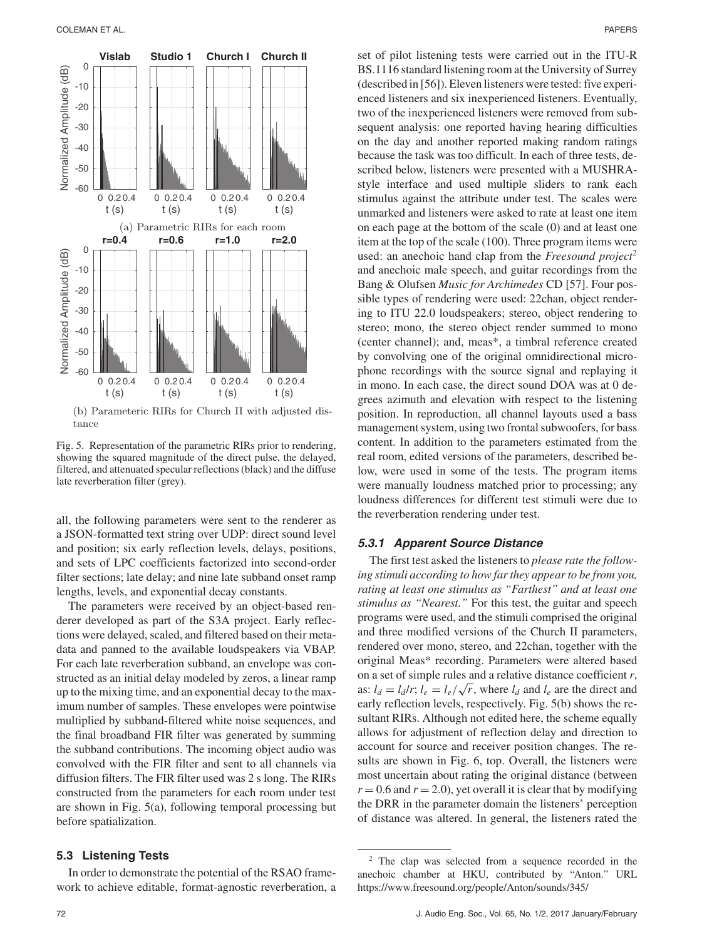

(b) Parameteric RIRs for Church II with adjusted distance

Fig. 5. Representation of the parametric RIRs prior to rendering, showing the squared magnitude of the direct pulse, the delayed, filtered, and attenuated specular reflections (black) and the diffuse late reverberation filter (grey).

all, the following parameters were sent to the renderer as a JSON-formatted text string over UDP: direct sound level and position; six early reflection levels, delays, positions, and sets of LPC coefficients factorized into second-order filter sections; late delay; and nine late subband onset ramp lengths, levels, and exponential decay constants.

The parameters were received by an object-based renderer developed as part of the S3A project. Early reflections were delayed, scaled, and filtered based on their metadata and panned to the available loudspeakers via VBAP. For each late reverberation subband, an envelope was constructed as an initial delay modeled by zeros, a linear ramp up to the mixing time, and an exponential decay to the maximum number of samples. These envelopes were pointwise multiplied by subband-filtered white noise sequences, and the final broadband FIR filter was generated by summing the subband contributions. The incoming object audio was convolved with the FIR filter and sent to all channels via diffusion filters. The FIR filter used was 2 s long. The RIRs constructed from the parameters for each room under test are shown in Fig. 5(a), following temporal processing but before spatialization.

## **5.3 Listening Tests**

In order to demonstrate the potential of the RSAO framework to achieve editable, format-agnostic reverberation, a

set of pilot listening tests were carried out in the ITU-R BS.1116 standard listening room at the University of Surrey (described in [56]). Eleven listeners were tested: five experienced listeners and six inexperienced listeners. Eventually, two of the inexperienced listeners were removed from subsequent analysis: one reported having hearing difficulties on the day and another reported making random ratings because the task was too difficult. In each of three tests, described below, listeners were presented with a MUSHRAstyle interface and used multiple sliders to rank each stimulus against the attribute under test. The scales were unmarked and listeners were asked to rate at least one item on each page at the bottom of the scale (0) and at least one item at the top of the scale (100). Three program items were used: an anechoic hand clap from the *Freesound project*<sup>2</sup> and anechoic male speech, and guitar recordings from the Bang & Olufsen *Music for Archimedes* CD [57]. Four possible types of rendering were used: 22chan, object rendering to ITU 22.0 loudspeakers; stereo, object rendering to stereo; mono, the stereo object render summed to mono (center channel); and, meas\*, a timbral reference created by convolving one of the original omnidirectional microphone recordings with the source signal and replaying it in mono. In each case, the direct sound DOA was at 0 degrees azimuth and elevation with respect to the listening position. In reproduction, all channel layouts used a bass management system, using two frontal subwoofers, for bass content. In addition to the parameters estimated from the real room, edited versions of the parameters, described below, were used in some of the tests. The program items were manually loudness matched prior to processing; any loudness differences for different test stimuli were due to the reverberation rendering under test.

#### **5.3.1 Apparent Source Distance**

The first test asked the listeners to *please rate the following stimuli according to how far they appear to be from you, rating at least one stimulus as "Farthest" and at least one stimulus as "Nearest."* For this test, the guitar and speech programs were used, and the stimuli comprised the original and three modified versions of the Church II parameters, rendered over mono, stereo, and 22chan, together with the original Meas\* recording. Parameters were altered based on a set of simple rules and a relative distance coefficient *r*, as:  $l_d = l_d/r$ ;  $l_e = l_e/\sqrt{r}$ , where  $l_d$  and  $l_e$  are the direct and early reflection levels, respectively. Fig. 5(b) shows the resultant RIRs. Although not edited here, the scheme equally allows for adjustment of reflection delay and direction to account for source and receiver position changes. The results are shown in Fig. 6, top. Overall, the listeners were most uncertain about rating the original distance (between  $r = 0.6$  and  $r = 2.0$ ), yet overall it is clear that by modifying the DRR in the parameter domain the listeners' perception of distance was altered. In general, the listeners rated the

<sup>2</sup> The clap was selected from a sequence recorded in the anechoic chamber at HKU, contributed by "Anton." URL https://www.freesound.org/people/Anton/sounds/345/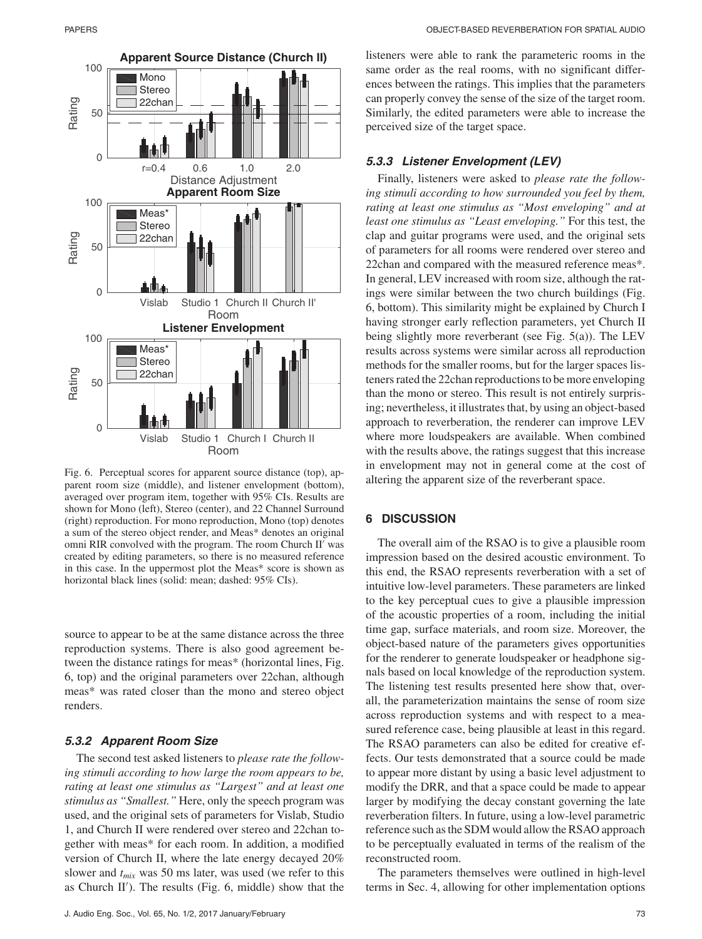

Fig. 6. Perceptual scores for apparent source distance (top), apparent room size (middle), and listener envelopment (bottom), averaged over program item, together with 95% CIs. Results are shown for Mono (left), Stereo (center), and 22 Channel Surround (right) reproduction. For mono reproduction, Mono (top) denotes a sum of the stereo object render, and Meas\* denotes an original omni RIR convolved with the program. The room Church II' was created by editing parameters, so there is no measured reference in this case. In the uppermost plot the Meas\* score is shown as horizontal black lines (solid: mean; dashed: 95% CIs).

source to appear to be at the same distance across the three reproduction systems. There is also good agreement between the distance ratings for meas\* (horizontal lines, Fig. 6, top) and the original parameters over 22chan, although meas\* was rated closer than the mono and stereo object renders.

## **5.3.2 Apparent Room Size**

The second test asked listeners to *please rate the following stimuli according to how large the room appears to be, rating at least one stimulus as "Largest" and at least one stimulus as "Smallest."* Here, only the speech program was used, and the original sets of parameters for Vislab, Studio 1, and Church II were rendered over stereo and 22chan together with meas\* for each room. In addition, a modified version of Church II, where the late energy decayed 20% slower and  $t_{mix}$  was 50 ms later, was used (we refer to this as Church II ). The results (Fig. 6, middle) show that the

listeners were able to rank the parameteric rooms in the same order as the real rooms, with no significant differences between the ratings. This implies that the parameters can properly convey the sense of the size of the target room. Similarly, the edited parameters were able to increase the perceived size of the target space.

## **5.3.3 Listener Envelopment (LEV)**

Finally, listeners were asked to *please rate the following stimuli according to how surrounded you feel by them, rating at least one stimulus as "Most enveloping" and at least one stimulus as "Least enveloping."* For this test, the clap and guitar programs were used, and the original sets of parameters for all rooms were rendered over stereo and 22chan and compared with the measured reference meas\*. In general, LEV increased with room size, although the ratings were similar between the two church buildings (Fig. 6, bottom). This similarity might be explained by Church I having stronger early reflection parameters, yet Church II being slightly more reverberant (see Fig. 5(a)). The LEV results across systems were similar across all reproduction methods for the smaller rooms, but for the larger spaces listeners rated the 22chan reproductions to be more enveloping than the mono or stereo. This result is not entirely surprising; nevertheless, it illustrates that, by using an object-based approach to reverberation, the renderer can improve LEV where more loudspeakers are available. When combined with the results above, the ratings suggest that this increase in envelopment may not in general come at the cost of altering the apparent size of the reverberant space.

# **6 DISCUSSION**

The overall aim of the RSAO is to give a plausible room impression based on the desired acoustic environment. To this end, the RSAO represents reverberation with a set of intuitive low-level parameters. These parameters are linked to the key perceptual cues to give a plausible impression of the acoustic properties of a room, including the initial time gap, surface materials, and room size. Moreover, the object-based nature of the parameters gives opportunities for the renderer to generate loudspeaker or headphone signals based on local knowledge of the reproduction system. The listening test results presented here show that, overall, the parameterization maintains the sense of room size across reproduction systems and with respect to a measured reference case, being plausible at least in this regard. The RSAO parameters can also be edited for creative effects. Our tests demonstrated that a source could be made to appear more distant by using a basic level adjustment to modify the DRR, and that a space could be made to appear larger by modifying the decay constant governing the late reverberation filters. In future, using a low-level parametric reference such as the SDM would allow the RSAO approach to be perceptually evaluated in terms of the realism of the reconstructed room.

The parameters themselves were outlined in high-level terms in Sec. 4, allowing for other implementation options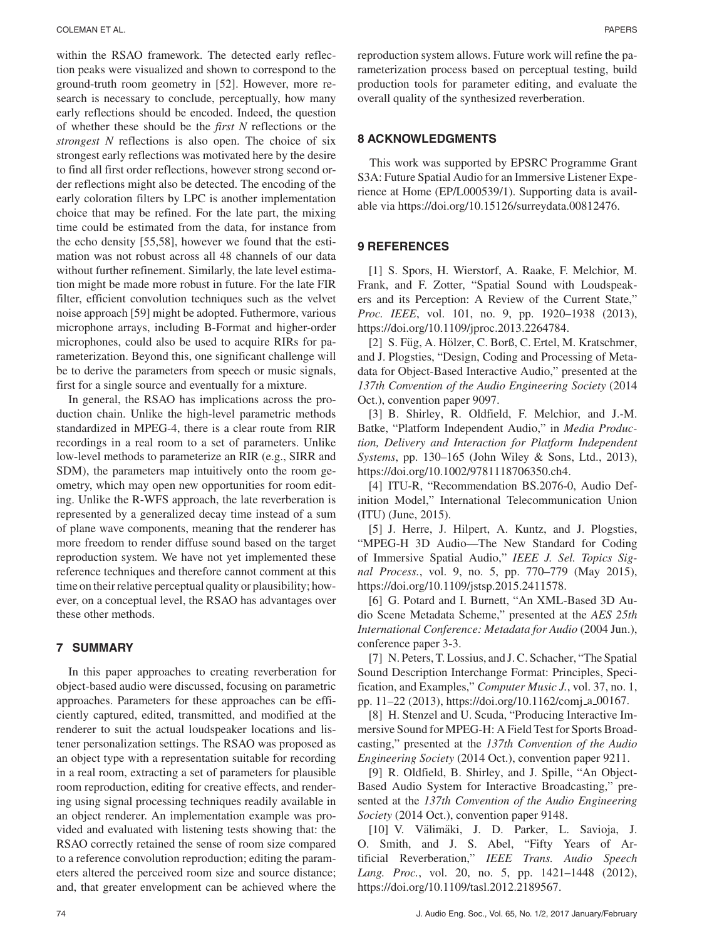within the RSAO framework. The detected early reflection peaks were visualized and shown to correspond to the ground-truth room geometry in [52]. However, more research is necessary to conclude, perceptually, how many early reflections should be encoded. Indeed, the question of whether these should be the *first N* reflections or the *strongest N* reflections is also open. The choice of six strongest early reflections was motivated here by the desire to find all first order reflections, however strong second order reflections might also be detected. The encoding of the early coloration filters by LPC is another implementation choice that may be refined. For the late part, the mixing time could be estimated from the data, for instance from the echo density [55,58], however we found that the estimation was not robust across all 48 channels of our data without further refinement. Similarly, the late level estimation might be made more robust in future. For the late FIR filter, efficient convolution techniques such as the velvet noise approach [59] might be adopted. Futhermore, various microphone arrays, including B-Format and higher-order microphones, could also be used to acquire RIRs for parameterization. Beyond this, one significant challenge will be to derive the parameters from speech or music signals, first for a single source and eventually for a mixture.

In general, the RSAO has implications across the production chain. Unlike the high-level parametric methods standardized in MPEG-4, there is a clear route from RIR recordings in a real room to a set of parameters. Unlike low-level methods to parameterize an RIR (e.g., SIRR and SDM), the parameters map intuitively onto the room geometry, which may open new opportunities for room editing. Unlike the R-WFS approach, the late reverberation is represented by a generalized decay time instead of a sum of plane wave components, meaning that the renderer has more freedom to render diffuse sound based on the target reproduction system. We have not yet implemented these reference techniques and therefore cannot comment at this time on their relative perceptual quality or plausibility; however, on a conceptual level, the RSAO has advantages over these other methods.

#### **7 SUMMARY**

In this paper approaches to creating reverberation for object-based audio were discussed, focusing on parametric approaches. Parameters for these approaches can be efficiently captured, edited, transmitted, and modified at the renderer to suit the actual loudspeaker locations and listener personalization settings. The RSAO was proposed as an object type with a representation suitable for recording in a real room, extracting a set of parameters for plausible room reproduction, editing for creative effects, and rendering using signal processing techniques readily available in an object renderer. An implementation example was provided and evaluated with listening tests showing that: the RSAO correctly retained the sense of room size compared to a reference convolution reproduction; editing the parameters altered the perceived room size and source distance; and, that greater envelopment can be achieved where the reproduction system allows. Future work will refine the parameterization process based on perceptual testing, build production tools for parameter editing, and evaluate the overall quality of the synthesized reverberation.

# **8 ACKNOWLEDGMENTS**

This work was supported by EPSRC Programme Grant S3A: Future Spatial Audio for an Immersive Listener Experience at Home (EP/L000539/1). Supporting data is available via https://doi.org/10.15126/surreydata.00812476.

## **9 REFERENCES**

[1] S. Spors, H. Wierstorf, A. Raake, F. Melchior, M. Frank, and F. Zotter, "Spatial Sound with Loudspeakers and its Perception: A Review of the Current State," *Proc. IEEE*, vol. 101, no. 9, pp. 1920–1938 (2013), https://doi.org/10.1109/jproc.2013.2264784.

[2] S. Füg, A. Hölzer, C. Borß, C. Ertel, M. Kratschmer, and J. Plogsties, "Design, Coding and Processing of Metadata for Object-Based Interactive Audio," presented at the *137th Convention of the Audio Engineering Society* (2014 Oct.), convention paper 9097.

[3] B. Shirley, R. Oldfield, F. Melchior, and J.-M. Batke, "Platform Independent Audio," in *Media Production, Delivery and Interaction for Platform Independent Systems*, pp. 130–165 (John Wiley & Sons, Ltd., 2013), https://doi.org/10.1002/9781118706350.ch4.

[4] ITU-R, "Recommendation BS.2076-0, Audio Definition Model," International Telecommunication Union (ITU) (June, 2015).

[5] J. Herre, J. Hilpert, A. Kuntz, and J. Plogsties, "MPEG-H 3D Audio—The New Standard for Coding of Immersive Spatial Audio," *IEEE J. Sel. Topics Signal Process.*, vol. 9, no. 5, pp. 770–779 (May 2015), https://doi.org/10.1109/jstsp.2015.2411578.

[6] G. Potard and I. Burnett, "An XML-Based 3D Audio Scene Metadata Scheme," presented at the *AES 25th International Conference: Metadata for Audio* (2004 Jun.), conference paper 3-3.

[7] N. Peters, T. Lossius, and J. C. Schacher, "The Spatial Sound Description Interchange Format: Principles, Specification, and Examples," *Computer Music J.*, vol. 37, no. 1, pp. 11–22 (2013), https://doi.org/10.1162/comj a 00167.

[8] H. Stenzel and U. Scuda, "Producing Interactive Immersive Sound for MPEG-H: A Field Test for Sports Broadcasting," presented at the *137th Convention of the Audio Engineering Society* (2014 Oct.), convention paper 9211.

[9] R. Oldfield, B. Shirley, and J. Spille, "An Object-Based Audio System for Interactive Broadcasting," presented at the *137th Convention of the Audio Engineering Society* (2014 Oct.), convention paper 9148.

[10] V. Välimäki, J. D. Parker, L. Savioja, J. O. Smith, and J. S. Abel, "Fifty Years of Artificial Reverberation," *IEEE Trans. Audio Speech Lang. Proc.*, vol. 20, no. 5, pp. 1421–1448 (2012), https://doi.org/10.1109/tasl.2012.2189567.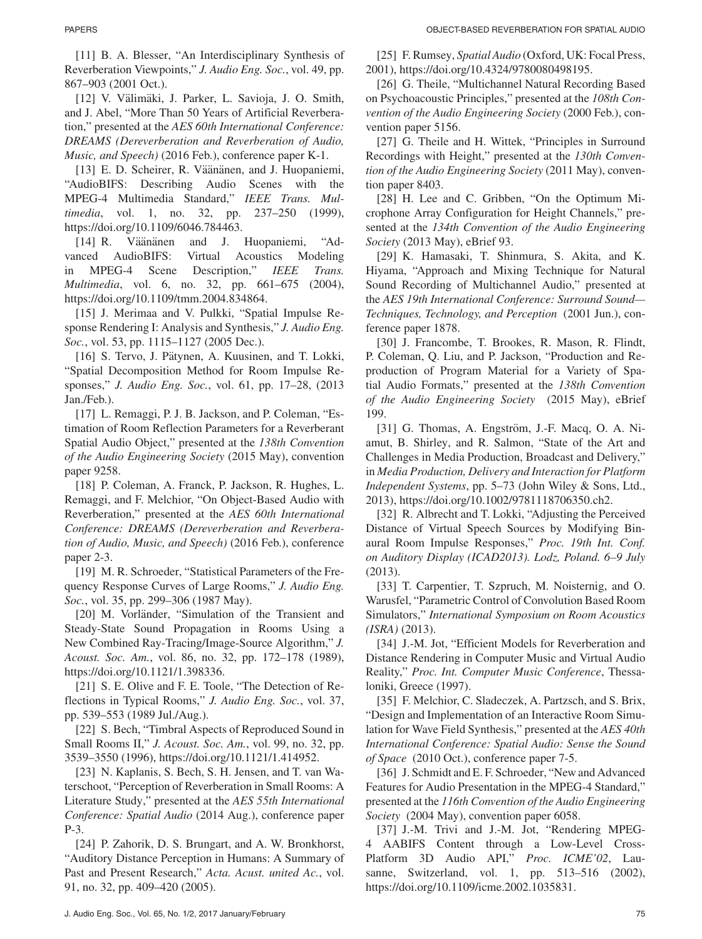[11] B. A. Blesser, "An Interdisciplinary Synthesis of Reverberation Viewpoints," *J. Audio Eng. Soc.*, vol. 49, pp. 867–903 (2001 Oct.).

[12] V. Välimäki, J. Parker, L. Savioja, J. O. Smith, and J. Abel, "More Than 50 Years of Artificial Reverberation," presented at the *AES 60th International Conference: DREAMS (Dereverberation and Reverberation of Audio, Music, and Speech)* (2016 Feb.), conference paper K-1.

[13] E. D. Scheirer, R. Väänänen, and J. Huopaniemi, "AudioBIFS: Describing Audio Scenes with the MPEG-4 Multimedia Standard," *IEEE Trans. Multimedia*, vol. 1, no. 32, pp. 237–250 (1999), https://doi.org/10.1109/6046.784463.

[14] R. Väänänen and J. Huopaniemi, "Advanced AudioBIFS: Virtual Acoustics Modeling in MPEG-4 Scene Description," *IEEE Trans. Multimedia*, vol. 6, no. 32, pp. 661–675 (2004), https://doi.org/10.1109/tmm.2004.834864.

[15] J. Merimaa and V. Pulkki, "Spatial Impulse Response Rendering I: Analysis and Synthesis," *J. Audio Eng. Soc.*, vol. 53, pp. 1115–1127 (2005 Dec.).

[16] S. Tervo, J. Pätynen, A. Kuusinen, and T. Lokki, "Spatial Decomposition Method for Room Impulse Responses," *J. Audio Eng. Soc.*, vol. 61, pp. 17–28, (2013 Jan./Feb.).

[17] L. Remaggi, P. J. B. Jackson, and P. Coleman, "Estimation of Room Reflection Parameters for a Reverberant Spatial Audio Object," presented at the *138th Convention of the Audio Engineering Society* (2015 May), convention paper 9258.

[18] P. Coleman, A. Franck, P. Jackson, R. Hughes, L. Remaggi, and F. Melchior, "On Object-Based Audio with Reverberation," presented at the *AES 60th International Conference: DREAMS (Dereverberation and Reverberation of Audio, Music, and Speech)* (2016 Feb.), conference paper 2-3.

[19] M. R. Schroeder, "Statistical Parameters of the Frequency Response Curves of Large Rooms," *J. Audio Eng. Soc.*, vol. 35, pp. 299–306 (1987 May).

[20] M. Vorländer, "Simulation of the Transient and Steady-State Sound Propagation in Rooms Using a New Combined Ray-Tracing/Image-Source Algorithm," *J. Acoust. Soc. Am.*, vol. 86, no. 32, pp. 172–178 (1989), https://doi.org/10.1121/1.398336.

[21] S. E. Olive and F. E. Toole, "The Detection of Reflections in Typical Rooms," *J. Audio Eng. Soc.*, vol. 37, pp. 539–553 (1989 Jul./Aug.).

[22] S. Bech, "Timbral Aspects of Reproduced Sound in Small Rooms II," *J. Acoust. Soc. Am.*, vol. 99, no. 32, pp. 3539–3550 (1996), https://doi.org/10.1121/1.414952.

[23] N. Kaplanis, S. Bech, S. H. Jensen, and T. van Waterschoot, "Perception of Reverberation in Small Rooms: A Literature Study," presented at the *AES 55th International Conference: Spatial Audio* (2014 Aug.), conference paper P-3.

[24] P. Zahorik, D. S. Brungart, and A. W. Bronkhorst, "Auditory Distance Perception in Humans: A Summary of Past and Present Research," *Acta. Acust. united Ac.*, vol. 91, no. 32, pp. 409–420 (2005).

[25] F. Rumsey, *Spatial Audio* (Oxford, UK: Focal Press, 2001), https://doi.org/10.4324/9780080498195.

[26] G. Theile, "Multichannel Natural Recording Based on Psychoacoustic Principles," presented at the *108th Convention of the Audio Engineering Society* (2000 Feb.), convention paper 5156.

[27] G. Theile and H. Wittek, "Principles in Surround Recordings with Height," presented at the *130th Convention of the Audio Engineering Society* (2011 May), convention paper 8403.

[28] H. Lee and C. Gribben, "On the Optimum Microphone Array Configuration for Height Channels," presented at the *134th Convention of the Audio Engineering Society* (2013 May), eBrief 93.

[29] K. Hamasaki, T. Shinmura, S. Akita, and K. Hiyama, "Approach and Mixing Technique for Natural Sound Recording of Multichannel Audio," presented at the *AES 19th International Conference: Surround Sound— Techniques, Technology, and Perception* (2001 Jun.), conference paper 1878.

[30] J. Francombe, T. Brookes, R. Mason, R. Flindt, P. Coleman, Q. Liu, and P. Jackson, "Production and Reproduction of Program Material for a Variety of Spatial Audio Formats," presented at the *138th Convention of the Audio Engineering Society* (2015 May), eBrief 199.

[31] G. Thomas, A. Engström, J.-F. Macq, O. A. Niamut, B. Shirley, and R. Salmon, "State of the Art and Challenges in Media Production, Broadcast and Delivery," in *Media Production, Delivery and Interaction for Platform Independent Systems*, pp. 5–73 (John Wiley & Sons, Ltd., 2013), https://doi.org/10.1002/9781118706350.ch2.

[32] R. Albrecht and T. Lokki, "Adjusting the Perceived Distance of Virtual Speech Sources by Modifying Binaural Room Impulse Responses," *Proc. 19th Int. Conf. on Auditory Display (ICAD2013). Lodz, Poland. 6–9 July* (2013).

[33] T. Carpentier, T. Szpruch, M. Noisternig, and O. Warusfel, "Parametric Control of Convolution Based Room Simulators," *International Symposium on Room Acoustics (ISRA)* (2013).

[34] J.-M. Jot, "Efficient Models for Reverberation and Distance Rendering in Computer Music and Virtual Audio Reality," *Proc. Int. Computer Music Conference*, Thessaloniki, Greece (1997).

[35] F. Melchior, C. Sladeczek, A. Partzsch, and S. Brix, "Design and Implementation of an Interactive Room Simulation for Wave Field Synthesis," presented at the *AES 40th International Conference: Spatial Audio: Sense the Sound of Space* (2010 Oct.), conference paper 7-5.

[36] J. Schmidt and E. F. Schroeder, "New and Advanced" Features for Audio Presentation in the MPEG-4 Standard," presented at the *116th Convention of the Audio Engineering Society* (2004 May), convention paper 6058.

[37] J.-M. Trivi and J.-M. Jot, "Rendering MPEG-4 AABIFS Content through a Low-Level Cross-Platform 3D Audio API," *Proc. ICME'02*, Lausanne, Switzerland, vol. 1, pp. 513–516 (2002), https://doi.org/10.1109/icme.2002.1035831.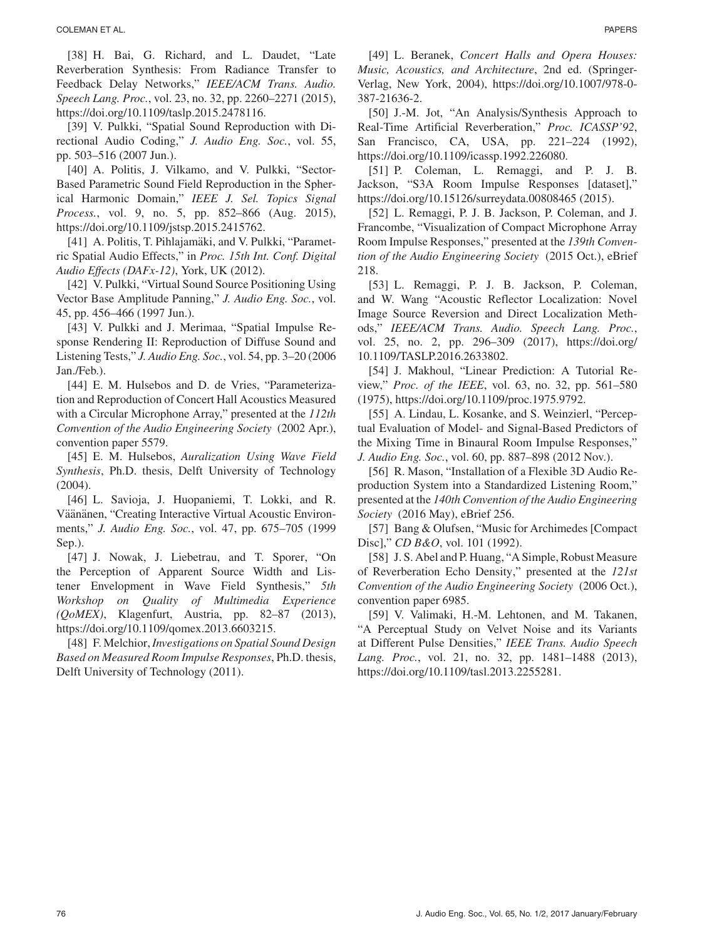[38] H. Bai, G. Richard, and L. Daudet, "Late Reverberation Synthesis: From Radiance Transfer to Feedback Delay Networks," *IEEE/ACM Trans. Audio. Speech Lang. Proc.*, vol. 23, no. 32, pp. 2260–2271 (2015), https://doi.org/10.1109/taslp.2015.2478116.

[39] V. Pulkki, "Spatial Sound Reproduction with Directional Audio Coding," *J. Audio Eng. Soc.*, vol. 55, pp. 503–516 (2007 Jun.).

[40] A. Politis, J. Vilkamo, and V. Pulkki, "Sector-Based Parametric Sound Field Reproduction in the Spherical Harmonic Domain," *IEEE J. Sel. Topics Signal Process.*, vol. 9, no. 5, pp. 852–866 (Aug. 2015), https://doi.org/10.1109/jstsp.2015.2415762.

[41] A. Politis, T. Pihlajamäki, and V. Pulkki, "Parametric Spatial Audio Effects," in *Proc. 15th Int. Conf. Digital Audio Effects (DAFx-12)*, York, UK (2012).

[42] V. Pulkki, "Virtual Sound Source Positioning Using Vector Base Amplitude Panning," *J. Audio Eng. Soc.*, vol. 45, pp. 456–466 (1997 Jun.).

[43] V. Pulkki and J. Merimaa, "Spatial Impulse Response Rendering II: Reproduction of Diffuse Sound and Listening Tests," *J. Audio Eng. Soc.*, vol. 54, pp. 3–20 (2006 Jan./Feb.).

[44] E. M. Hulsebos and D. de Vries, "Parameterization and Reproduction of Concert Hall Acoustics Measured with a Circular Microphone Array," presented at the *112th Convention of the Audio Engineering Society* (2002 Apr.), convention paper 5579.

[45] E. M. Hulsebos, *Auralization Using Wave Field Synthesis*, Ph.D. thesis, Delft University of Technology (2004).

[46] L. Savioja, J. Huopaniemi, T. Lokki, and R. Väänänen, "Creating Interactive Virtual Acoustic Environments," *J. Audio Eng. Soc.*, vol. 47, pp. 675–705 (1999 Sep.).

[47] J. Nowak, J. Liebetrau, and T. Sporer, "On the Perception of Apparent Source Width and Listener Envelopment in Wave Field Synthesis," *5th Workshop on Quality of Multimedia Experience (QoMEX)*, Klagenfurt, Austria, pp. 82–87 (2013), https://doi.org/10.1109/qomex.2013.6603215.

[48] F. Melchior,*Investigations on Spatial Sound Design Based on Measured Room Impulse Responses*, Ph.D. thesis, Delft University of Technology (2011).

[49] L. Beranek, *Concert Halls and Opera Houses: Music, Acoustics, and Architecture*, 2nd ed. (Springer-Verlag, New York, 2004), https://doi.org/10.1007/978-0- 387-21636-2.

[50] J.-M. Jot, "An Analysis/Synthesis Approach to Real-Time Artificial Reverberation," *Proc. ICASSP'92*, San Francisco, CA, USA, pp. 221–224 (1992), https://doi.org/10.1109/icassp.1992.226080.

[51] P. Coleman, L. Remaggi, and P. J. B. Jackson, "S3A Room Impulse Responses [dataset]," https://doi.org/10.15126/surreydata.00808465 (2015).

[52] L. Remaggi, P. J. B. Jackson, P. Coleman, and J. Francombe, "Visualization of Compact Microphone Array Room Impulse Responses," presented at the *139th Convention of the Audio Engineering Society* (2015 Oct.), eBrief 218.

[53] L. Remaggi, P. J. B. Jackson, P. Coleman, and W. Wang "Acoustic Reflector Localization: Novel Image Source Reversion and Direct Localization Methods," *IEEE/ACM Trans. Audio. Speech Lang. Proc.*, vol. 25, no. 2, pp. 296–309 (2017), https://doi.org/ 10.1109/TASLP.2016.2633802.

[54] J. Makhoul, "Linear Prediction: A Tutorial Review," *Proc. of the IEEE*, vol. 63, no. 32, pp. 561–580 (1975), https://doi.org/10.1109/proc.1975.9792.

[55] A. Lindau, L. Kosanke, and S. Weinzierl, "Perceptual Evaluation of Model- and Signal-Based Predictors of the Mixing Time in Binaural Room Impulse Responses," *J. Audio Eng. Soc.*, vol. 60, pp. 887–898 (2012 Nov.).

[56] R. Mason, "Installation of a Flexible 3D Audio Reproduction System into a Standardized Listening Room," presented at the *140th Convention of the Audio Engineering Society* (2016 May), eBrief 256.

[57] Bang & Olufsen, "Music for Archimedes [Compact Disc]," *CD B&O*, vol. 101 (1992).

[58] J. S. Abel and P. Huang, "A Simple, Robust Measure of Reverberation Echo Density," presented at the *121st Convention of the Audio Engineering Society* (2006 Oct.), convention paper 6985.

[59] V. Valimaki, H.-M. Lehtonen, and M. Takanen, "A Perceptual Study on Velvet Noise and its Variants at Different Pulse Densities," *IEEE Trans. Audio Speech Lang. Proc.*, vol. 21, no. 32, pp. 1481–1488 (2013), https://doi.org/10.1109/tasl.2013.2255281.